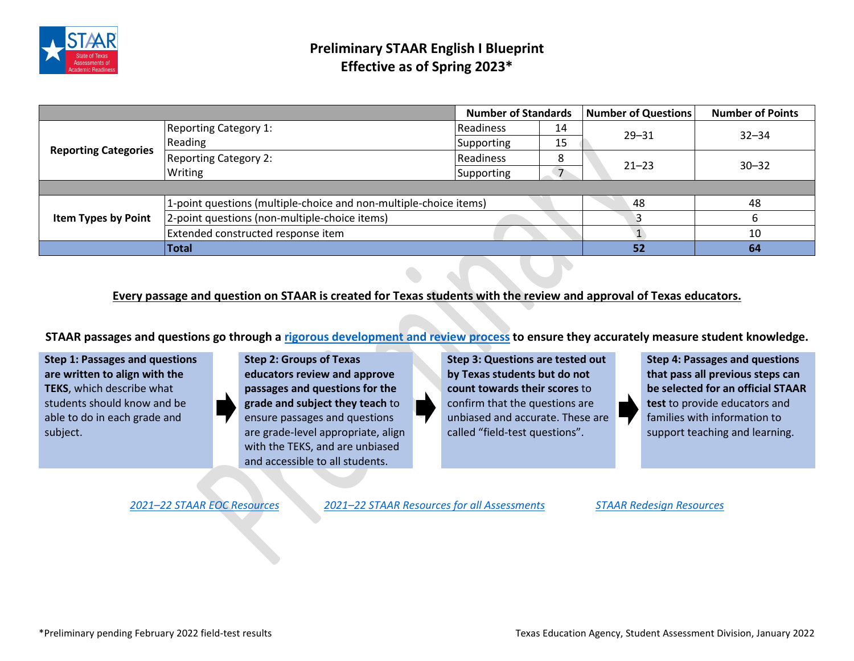

|                             |                                                                   | <b>Number of Standards</b> |    | <b>Number of Questions</b> | <b>Number of Points</b> |
|-----------------------------|-------------------------------------------------------------------|----------------------------|----|----------------------------|-------------------------|
| <b>Reporting Categories</b> | <b>Reporting Category 1:</b>                                      | Readiness                  | 14 | $29 - 31$                  | $32 - 34$               |
|                             | Reading                                                           | <b>Supporting</b>          | 15 |                            |                         |
|                             | <b>Reporting Category 2:</b>                                      | Readiness                  |    | $21 - 23$                  | $30 - 32$               |
|                             | Writing                                                           | Supporting                 |    |                            |                         |
|                             |                                                                   |                            |    |                            |                         |
| <b>Item Types by Point</b>  | 1-point questions (multiple-choice and non-multiple-choice items) |                            |    | 48                         | 48                      |
|                             | 2-point questions (non-multiple-choice items)                     |                            |    |                            |                         |
|                             | Extended constructed response item                                |                            |    |                            | 10                      |
|                             | <b>Total</b>                                                      |                            |    | 52                         | 64                      |

## **Every passage and question on STAAR is created for Texas students with the review and approval of Texas educators.**

**STAAR passages and questions go through [a rigorous development and review process](https://tea.texas.gov/sites/default/files/techdigest-2020-2021-chapter2.pdf) to ensure they accurately measure student knowledge.**

**Step 1: Passages and questions are written to align with the TEKS**, which describe what students should know and be able to do in each grade and subject.

**Step 2: Groups of Texas educators review and approve passages and questions for the grade and subject they teach** to ensure passages and questions are grade-level appropriate, align with the TEKS, and are unbiased and accessible to all students.

**Step 3: Questions are tested out by Texas students but do not count towards their scores** to confirm that the questions are unbiased and accurate. These are called "field-test questions".

**Step 4: Passages and questions that pass all previous steps can be selected for an official STAAR test** to provide educators and families with information to support teaching and learning.

*2021–22 [STAAR EOC](https://tea.texas.gov/student-assessment/testing/staar/staar-english-i-and-english-ii-resources) Resources 2021–22 [STAAR Resources for all Assessments](https://tea.texas.gov/student-assessment/testing/staar/staar-resources) [STAAR Redesign Resources](https://tea.texas.gov/student-assessment/assessment-initiatives/hb-3906/staar-redesign)*